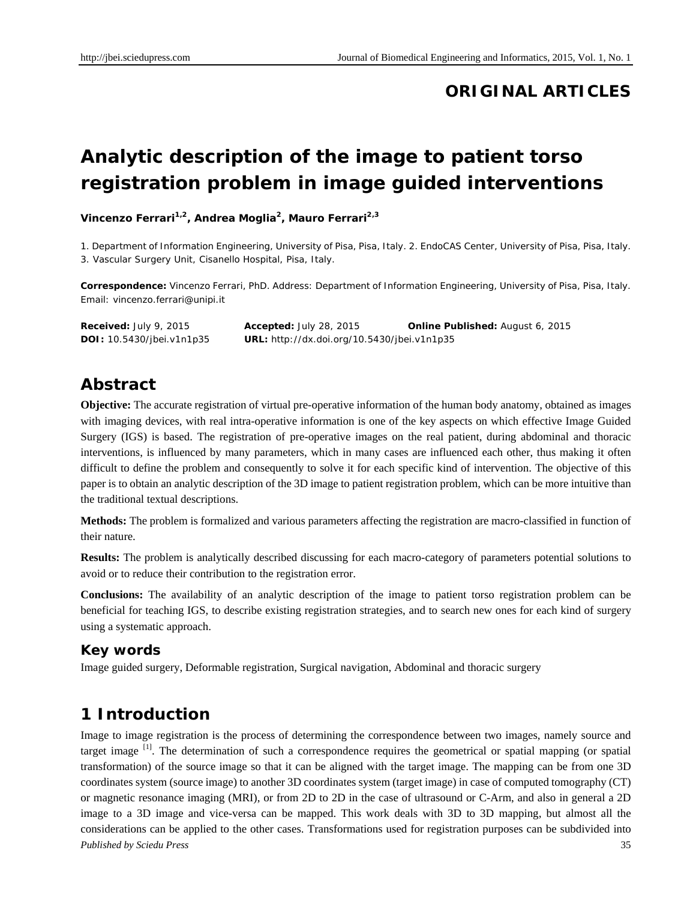# **ORIGINAL ARTICLES**

# **Analytic description of the image to patient torso registration problem in image guided interventions**

**Vincenzo Ferrari1,2, Andrea Moglia2, Mauro Ferrari2,3**

1. Department of Information Engineering, University of Pisa, Pisa, Italy. 2. EndoCAS Center, University of Pisa, Pisa, Italy. 3. Vascular Surgery Unit, Cisanello Hospital, Pisa, Italy.

**Correspondence:** Vincenzo Ferrari, PhD. Address: Department of Information Engineering, University of Pisa, Pisa, Italy. Email: vincenzo.ferrari@unipi.it

**Received:** July 9, 2015 **Accepted:** July 28, 2015 **Online Published:** August 6, 2015 **DOI:** 10.5430/jbei.v1n1p35 **URL:** http://dx.doi.org/10.5430/jbei.v1n1p35

### **Abstract**

**Objective:** The accurate registration of virtual pre-operative information of the human body anatomy, obtained as images with imaging devices, with real intra-operative information is one of the key aspects on which effective Image Guided Surgery (IGS) is based. The registration of pre-operative images on the real patient, during abdominal and thoracic interventions, is influenced by many parameters, which in many cases are influenced each other, thus making it often difficult to define the problem and consequently to solve it for each specific kind of intervention. The objective of this paper is to obtain an analytic description of the 3D image to patient registration problem, which can be more intuitive than the traditional textual descriptions.

**Methods:** The problem is formalized and various parameters affecting the registration are macro-classified in function of their nature.

**Results:** The problem is analytically described discussing for each macro-category of parameters potential solutions to avoid or to reduce their contribution to the registration error.

**Conclusions:** The availability of an analytic description of the image to patient torso registration problem can be beneficial for teaching IGS, to describe existing registration strategies, and to search new ones for each kind of surgery using a systematic approach.

#### **Key words**

Image guided surgery, Deformable registration, Surgical navigation, Abdominal and thoracic surgery

# **1 Introduction**

*Published by Sciedu Press* 35 Image to image registration is the process of determining the correspondence between two images, namely source and target image <sup>[1]</sup>. The determination of such a correspondence requires the geometrical or spatial mapping (or spatial transformation) of the source image so that it can be aligned with the target image. The mapping can be from one 3D coordinates system (source image) to another 3D coordinates system (target image) in case of computed tomography (CT) or magnetic resonance imaging (MRI), or from 2D to 2D in the case of ultrasound or C-Arm, and also in general a 2D image to a 3D image and vice-versa can be mapped. This work deals with 3D to 3D mapping, but almost all the considerations can be applied to the other cases. Transformations used for registration purposes can be subdivided into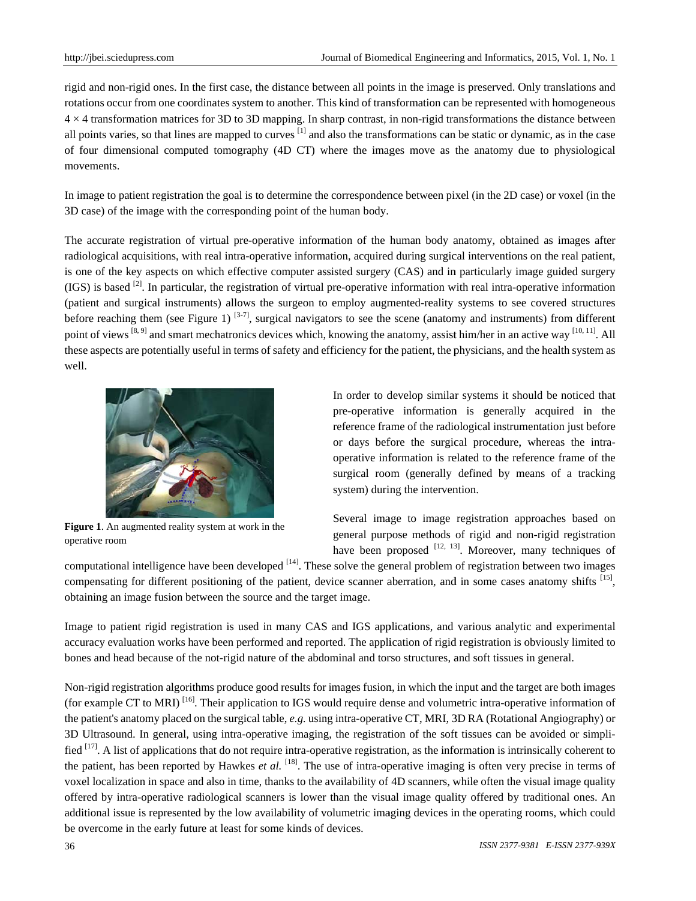rigid and non-rigid ones. In the first case, the distance between all points in the image is preserved. Only translations and rotations occur from one coordinates system to another. This kind of transformation can be represented with homogeneous 4 4 × 4 transform mation matrice s for 3D to 3D mapping. In sh harp contrast, i in non-rigid tra ansformations the distance be etween all points varies, so that lines are mapped to curves  $[1]$  and also the transformations can be static or dynamic, as in the case of four dimensional computed tomography (4D CT) where the images move as the anatomy due to physiological m movements.

In image to patient registration the goal is to determine the correspondence between pixel (in the 2D case) or voxel (in the 3D case) of the image with the corresponding point of the human body.

The accurate registration of virtual pre-operative information of the human body anatomy, obtained as images after radiological acquisitions, with real intra-operative information, acquired during surgical interventions on the real patient, is one of the key aspects on which effective computer assisted surgery (CAS) and in particularly image guided surgery  $(IGS)$  is based  $^{[2]}$ . In particular, the registration of virtual pre-operative information with real intra-operative information (patient and surgical instruments) allows the surgeon to employ augmented-reality systems to see covered structures before reaching them (see Figure 1)  $[3-7]$ , surgical navigators to see the scene (anatomy and instruments) from different point of views <sup>[8, 9]</sup> and smart mechatronics devices which, knowing the anatomy, assist him/her in an active way <sup>[10, 11]</sup>. All these aspects are potentially useful in terms of safety and efficiency for the patient, the physicians, and the health system as w well.



Figure 1. An augmented reality system at work in the o operative room

In order to develop similar systems it should be noticed that pre-operative information is generally acquired in the reference frame of the radiological instrumentation just before or days before the surgical procedure, whereas the intraoperative information is related to the reference frame of the surgical room (generally defined by means of a tracking system) during the intervention.

Several image to image registration approaches based on general purpose methods of rigid and non-rigid registration have been proposed  $[12, 13]$ . Moreover, many techniques of

computational intelligence have been developed <sup>[14]</sup>. These solve the general problem of registration between two images compensating for different positioning of the patient, device scanner aberration, and in some cases anatomy shifts [15], obtaining an image fusion between the source and the target image.

Image to patient rigid registration is used in many CAS and IGS applications, and various analytic and experimental accuracy evaluation works have been performed and reported. The application of rigid registration is obviously limited to bones and head because of the not-rigid nature of the abdominal and torso structures, and soft tissues in general.

Non-rigid registration algorithms produce good results for images fusion, in which the input and the target are both images (for example CT to MRI)  $^{[16]}$ . Their application to IGS would require dense and volumetric intra-operative information of the patient's anatomy placed on the surgical table, *e.g.* using intra-operative CT, MRI, 3D RA (Rotational Angiography) or 3D Ultrasound. In general, using intra-operative imaging, the registration of the soft tissues can be avoided or simplified  $[17]$ . A list of applications that do not require intra-operative registration, as the information is intrinsically coherent to the patient, has been reported by Hawkes *et al.* [18]. The use of intra-operative imaging is often very precise in terms of voxel localization in space and also in time, thanks to the availability of 4D scanners, while often the visual image quality offered by intra-operative radiological scanners is lower than the visual image quality offered by traditional ones. An additional issue is represented by the low availability of volumetric imaging devices in the operating rooms, which could be overcome in the early future at least for some kinds of devices.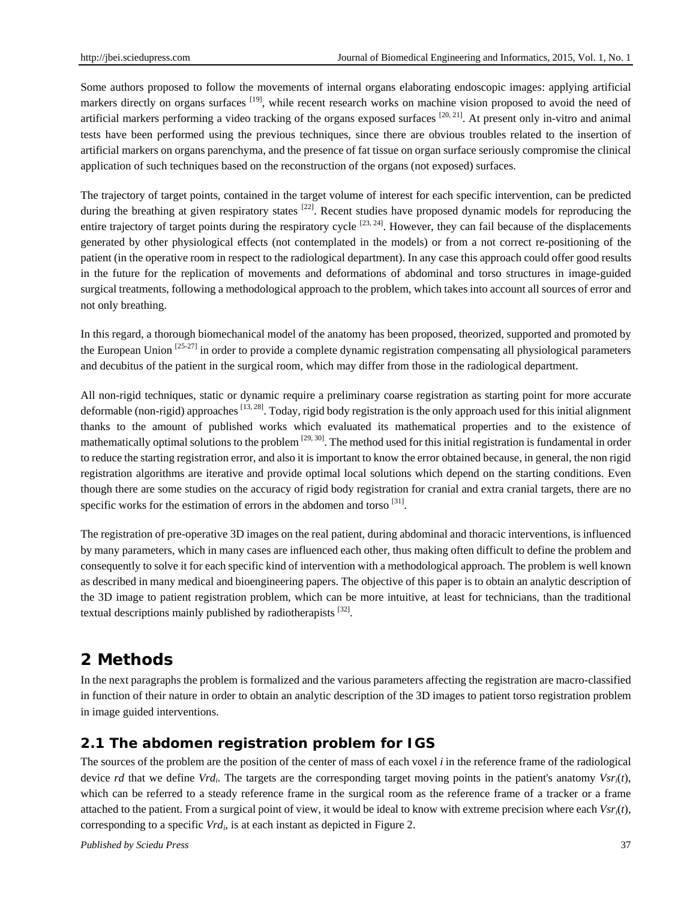Some authors proposed to follow the movements of internal organs elaborating endoscopic images: applying artificial markers directly on organs surfaces <sup>[19]</sup>, while recent research works on machine vision proposed to avoid the need of artificial markers performing a video tracking of the organs exposed surfaces  $[20, 21]$ . At present only in-vitro and animal tests have been performed using the previous techniques, since there are obvious troubles related to the insertion of artificial markers on organs parenchyma, and the presence of fat tissue on organ surface seriously compromise the clinical application of such techniques based on the reconstruction of the organs (not exposed) surfaces.

The trajectory of target points, contained in the target volume of interest for each specific intervention, can be predicted during the breathing at given respiratory states <sup>[22]</sup>. Recent studies have proposed dynamic models for reproducing the entire trajectory of target points during the respiratory cycle  $[23, 24]$ . However, they can fail because of the displacements generated by other physiological effects (not contemplated in the models) or from a not correct re-positioning of the patient (in the operative room in respect to the radiological department). In any case this approach could offer good results in the future for the replication of movements and deformations of abdominal and torso structures in image-guided surgical treatments, following a methodological approach to the problem, which takes into account all sources of error and not only breathing.

In this regard, a thorough biomechanical model of the anatomy has been proposed, theorized, supported and promoted by the European Union  $[25-27]$  in order to provide a complete dynamic registration compensating all physiological parameters and decubitus of the patient in the surgical room, which may differ from those in the radiological department.

All non-rigid techniques, static or dynamic require a preliminary coarse registration as starting point for more accurate deformable (non-rigid) approaches  $[13, 28]$ . Today, rigid body registration is the only approach used for this initial alignment thanks to the amount of published works which evaluated its mathematical properties and to the existence of mathematically optimal solutions to the problem  $[29, 30]$ . The method used for this initial registration is fundamental in order to reduce the starting registration error, and also it is important to know the error obtained because, in general, the non rigid registration algorithms are iterative and provide optimal local solutions which depend on the starting conditions. Even though there are some studies on the accuracy of rigid body registration for cranial and extra cranial targets, there are no specific works for the estimation of errors in the abdomen and torso [31].

The registration of pre-operative 3D images on the real patient, during abdominal and thoracic interventions, is influenced by many parameters, which in many cases are influenced each other, thus making often difficult to define the problem and consequently to solve it for each specific kind of intervention with a methodological approach. The problem is well known as described in many medical and bioengineering papers. The objective of this paper is to obtain an analytic description of the 3D image to patient registration problem, which can be more intuitive, at least for technicians, than the traditional textual descriptions mainly published by radiotherapists <sup>[32]</sup>.

# **2 Methods**

In the next paragraphs the problem is formalized and the various parameters affecting the registration are macro-classified in function of their nature in order to obtain an analytic description of the 3D images to patient torso registration problem in image guided interventions.

### **2.1 The abdomen registration problem for IGS**

The sources of the problem are the position of the center of mass of each voxel *i* in the reference frame of the radiological device *rd* that we define *Vrdi*. The targets are the corresponding target moving points in the patient's anatomy *Vsri*(*t*), which can be referred to a steady reference frame in the surgical room as the reference frame of a tracker or a frame attached to the patient. From a surgical point of view, it would be ideal to know with extreme precision where each *Vsri*(*t*)*,*  corresponding to a specific *Vrd<sub>i</sub>*, is at each instant as depicted in Figure 2.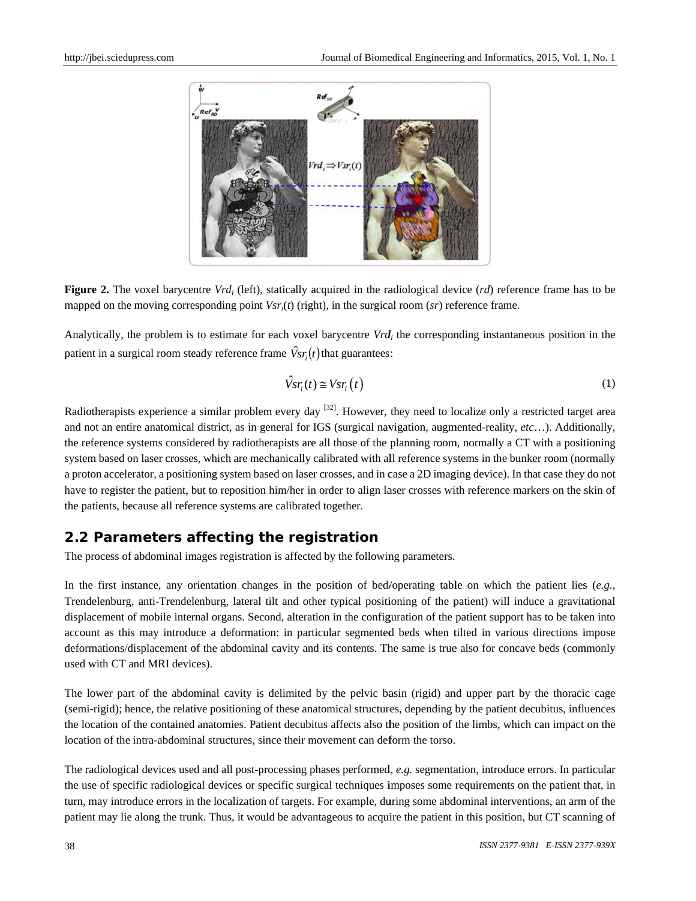

**Figure 2.** The voxel barycentre  $Vrd_i$  (left), statically acquired in the radiological device  $(rd)$  reference frame has to be mapped on the moving corresponding point *Vsr<sub>i</sub>(t)* (right), in the surgical room (sr) reference frame.

Analytically, the problem is to estimate for each voxel barycentre Vrd<sub>i</sub> the corresponding instantaneous position in the patient in a surgical room steady reference frame  $\hat{V}_{sr_i}(t)$  that guarantees:

$$
\hat{V}sr_i(t) \cong Vsr_i\left(t\right) \tag{1}
$$

Radiotherapists experience a similar problem every day  $[32]$ . However, they need to localize only a restricted target area and not an entire anatomical district, as in general for IGS (surgical navigation, augmented-reality, etc...). Additionally, the reference systems considered by radiotherapists are all those of the planning room, normally a CT with a positioning a proton accelerator, a positioning system based on laser crosses, and in case a 2D imaging device). In that case they do not have to register the patient, but to reposition him/her in order to align laser crosses with reference markers on the skin of the patients, because all reference systems are calibrated together. system based on laser crosses, which are mechanically calibrated with all reference systems in the bunker room (normally

#### **2.2 Parameters affecting the registration**

The process of abdominal images registration is affected by the following parameters.

In the first instance, any orientation changes in the position of bed/operating table on which the patient lies  $(e.g.,)$ Trendelenburg, anti-Trendelenburg, lateral tilt and other typical positioning of the patient) will induce a gravitational displacement of mobile internal organs. Second, alteration in the configuration of the patient support has to be taken into account as this may introduce a deformation: in particular segmented beds when tilted in various directions impose deformations/displacement of the abdominal cavity and its contents. The same is true also for concave beds (commonly used with CT and MRI devices).

The lower part of the abdominal cavity is delimited by the pelvic basin (rigid) and upper part by the thoracic cage (semi-rigid); hence, the relative positioning of these anatomical structures, depending by the patient decubitus, influences the location of the contained anatomies. Patient decubitus affects also the position of the limbs, which can impact on the location of the intra-abdominal structures, since their movement can deform the torso. location of the intra-abdominal structures, since their movement can deform the torso.<br>The radiological devices used and all post-processing phases performed, *e.g.* segmentation, introduce errors. In particular

the use of specific radiological devices or specific surgical techniques imposes some requirements on the patient that, in turn, may introduce errors in the localization of targets. For example, during some abdominal interventions, an arm of the patient may lie along the trunk. Thus, it would be advantageous to acquire the patient in this position, but CT scanning of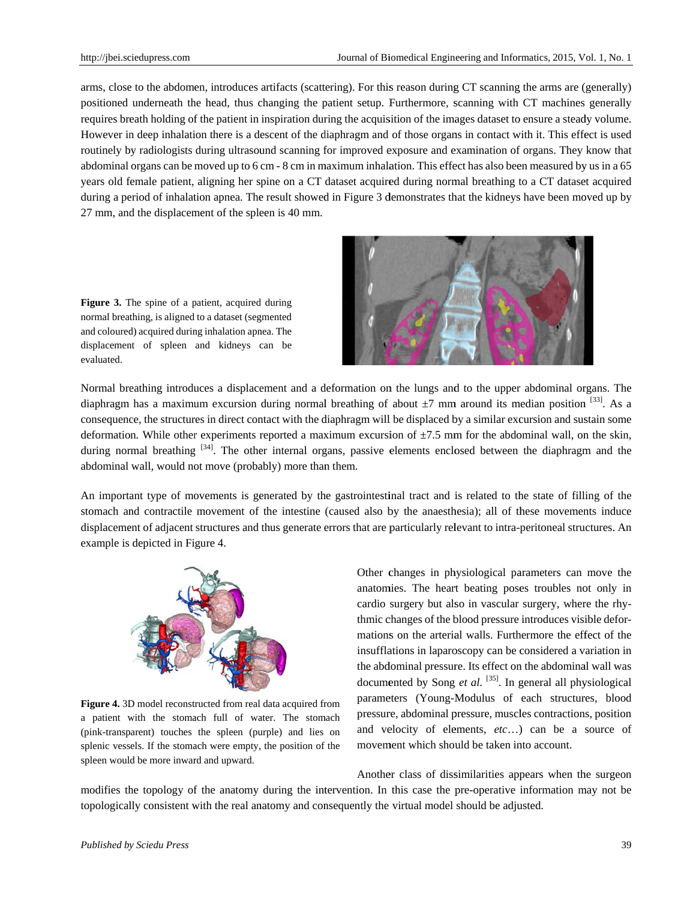arms, close to the abdomen, introduces artifacts (scattering). For this reason during CT scanning the arms are (generally) positioned underneath the head, thus changing the patient setup. Furthermore, scanning with CT machines generally requires breath holding of the patient in inspiration during the acquisition of the images dataset to ensure a steady volume. However in deep inhalation there is a descent of the diaphragm and of those organs in contact with it. This effect is used routinely by radiologists during ultrasound scanning for improved exposure and examination of organs. They know that abdominal organs can be moved up to 6 cm - 8 cm in maximum inhalation. This effect has also been measured by us in a 65 years old female patient, aligning her spine on a CT dataset acquired during normal breathing to a CT dataset acquired during a period of inhalation apnea. The result showed in Figure 3 demonstrates that the kidneys have been moved up by 27 mm, and the displacement of the spleen is 40 mm.

Figure 3. The spine of a patient, acquired during normal breathing, is aligned to a dataset (segmented and coloured) acquired during inhalation apnea. The displacement of spleen and kidneys can be evaluated.



Normal breathing introduces a displacement and a deformation on the lungs and to the upper abdominal organs. The diaphragm has a maximum excursion during normal breathing of about  $\pm 7$  mm around its median position  $^{[33]}$ . As a consequence, the structures in direct contact with the diaphragm will be displaced by a similar excursion and sustain some deformation. While other experiments reported a maximum excursion of  $\pm$ 7.5 mm for the abdominal wall, on the skin, during normal breathing  $[34]$ . The other internal organs, passive elements enclosed between the diaphragm and the abdominal wall, would not move (probably) more than them.

An important type of movements is generated by the gastrointestinal tract and is related to the state of filling of the stomach and contractile movement of the intestine (caused also by the anaesthesia); all of these movements induce displacement of adjacent structures and thus generate errors that are particularly relevant to intra-peritoneal structures. An example is depicted in Fi gure 4.



Figure 4. 3D model reconstructed from real data acquired from a patient with the stomach full of water. The stomach (pink-transparent) touches the spleen (purple) and lies on splenic vessels. If the stomach were empty, the position of the spleen would be more inward and upward.

Other changes in physiological parameters can move the anatomies. The heart beating poses troubles not only in cardio surgery but also in vascular surgery, where the rhythmic changes of the blood pressure introduces visible deformations on the arterial walls. Furthermore the effect of the insufflations in laparoscopy can be considered a variation in the abdominal pressure. Its effect on the abdominal wall was documented by Song et al. <sup>[35]</sup>. In general all physiological parameters (Young-Modulus of each structures, blood pressure, abdominal pressure, muscles contractions, position and velocity of elements, etc...) can be a source of movement which should be taken into account.

modifies the topology of the anatomy during the intervention. In this case the pre-operative information may not be topologically consistent with the real anatomy and consequently the virtual model should be adjusted. Another class of dissimilarities appears when the surgeon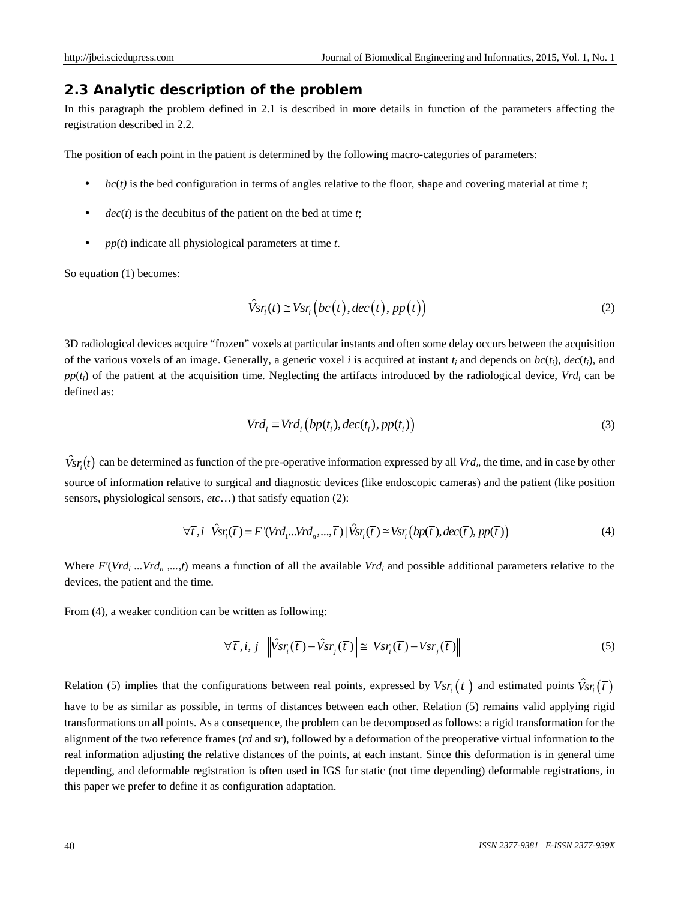#### **2.3 Analytic description of the problem**

In this paragraph the problem defined in 2.1 is described in more details in function of the parameters affecting the registration described in 2.2.

The position of each point in the patient is determined by the following macro-categories of parameters:

- $bc(t)$  is the bed configuration in terms of angles relative to the floor, shape and covering material at time  $t$ ;
- $dec(t)$  is the decubitus of the patient on the bed at time  $t$ ;
- *pp*(*t*) indicate all physiological parameters at time *t*.

So equation (1) becomes:

$$
\hat{V}sr_i(t) \cong Vsr_i\big(bc(t), dec(t), pp(t)\big) \tag{2}
$$

3D radiological devices acquire "frozen" voxels at particular instants and often some delay occurs between the acquisition of the various voxels of an image. Generally, a generic voxel *i* is acquired at instant  $t_i$  and depends on  $bc(t_i)$ ,  $dec(t_i)$ , and  $pp(t_i)$  of the patient at the acquisition time. Neglecting the artifacts introduced by the radiological device,  $Vrd_i$  can be defined as:

$$
Vrd_i \equiv Vrd_i\left(bp(t_i), dec(t_i), pp(t_i)\right) \tag{3}
$$

 $\hat{V}_{sr}$  (*t*) can be determined as function of the pre-operative information expressed by all *Vrd<sub>i</sub>*, the time, and in case by other source of information relative to surgical and diagnostic devices (like endoscopic cameras) and the patient (like position sensors, physiological sensors, *etc*…) that satisfy equation (2):

$$
\forall \overline{\tau}, i \quad \hat{V}sr_i(\overline{\tau}) = F'(Vrd_1...Vrd_n, ..., \overline{\tau}) \mid \hat{V}sr_i(\overline{\tau}) \cong Vsr_i(bp(\overline{\tau}), dec(\overline{\tau}), pp(\overline{\tau})) \tag{4}
$$

Where  $F'(Vrd_i...Vrd_n,...,t)$  means a function of all the available  $Vrd_i$  and possible additional parameters relative to the devices, the patient and the time.

From (4), a weaker condition can be written as following:

$$
\forall \overline{t}, i, j \quad \left\| \hat{V}sr_i(\overline{t}) - \hat{V}sr_j(\overline{t}) \right\| \le \left\| Vsr_i(\overline{t}) - Vsr_j(\overline{t}) \right\| \tag{5}
$$

Relation (5) implies that the configurations between real points, expressed by  $Vsr_i(\bar{t})$  and estimated points  $\hat{V}sr_i(\bar{t})$ have to be as similar as possible, in terms of distances between each other. Relation (5) remains valid applying rigid transformations on all points. As a consequence, the problem can be decomposed as follows: a rigid transformation for the alignment of the two reference frames (*rd* and *sr*), followed by a deformation of the preoperative virtual information to the real information adjusting the relative distances of the points, at each instant. Since this deformation is in general time depending, and deformable registration is often used in IGS for static (not time depending) deformable registrations, in this paper we prefer to define it as configuration adaptation.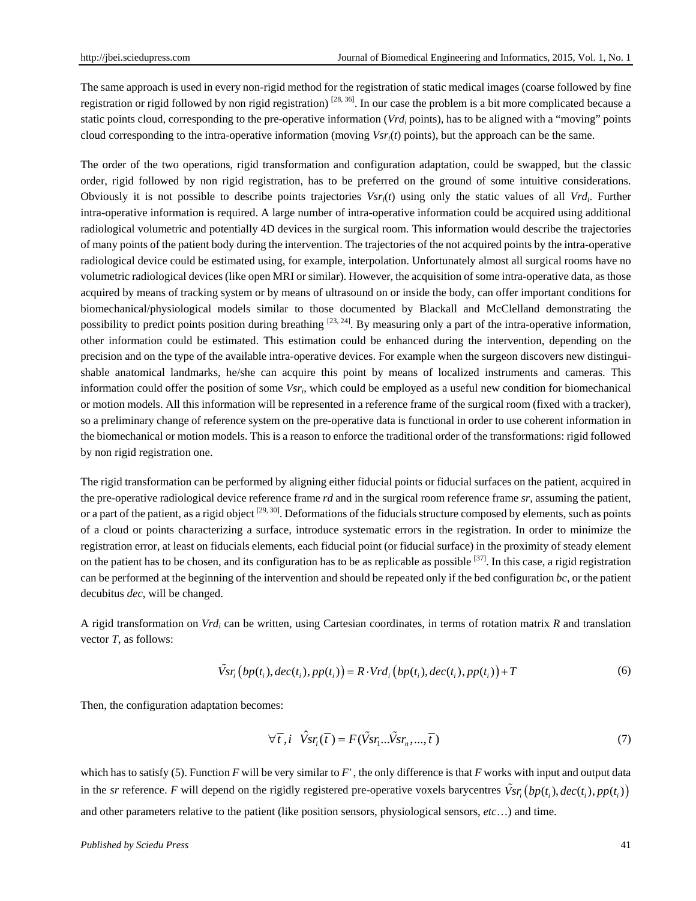The same approach is used in every non-rigid method for the registration of static medical images (coarse followed by fine registration or rigid followed by non rigid registration)  $[28, 36]$ . In our case the problem is a bit more complicated because a static points cloud, corresponding to the pre-operative information (*Vrd<sub>i</sub>* points), has to be aligned with a "moving" points cloud corresponding to the intra-operative information (moving *Vsri*(*t*) points), but the approach can be the same.

The order of the two operations, rigid transformation and configuration adaptation, could be swapped, but the classic order, rigid followed by non rigid registration, has to be preferred on the ground of some intuitive considerations. Obviously it is not possible to describe points trajectories *Vsri*(*t*) using only the static values of all *Vrdi*. Further intra-operative information is required. A large number of intra-operative information could be acquired using additional radiological volumetric and potentially 4D devices in the surgical room. This information would describe the trajectories of many points of the patient body during the intervention. The trajectories of the not acquired points by the intra-operative radiological device could be estimated using, for example, interpolation. Unfortunately almost all surgical rooms have no volumetric radiological devices (like open MRI or similar). However, the acquisition of some intra-operative data, as those acquired by means of tracking system or by means of ultrasound on or inside the body, can offer important conditions for biomechanical/physiological models similar to those documented by Blackall and McClelland demonstrating the possibility to predict points position during breathing  $[23, 24]$ . By measuring only a part of the intra-operative information, other information could be estimated. This estimation could be enhanced during the intervention, depending on the precision and on the type of the available intra-operative devices. For example when the surgeon discovers new distinguishable anatomical landmarks, he/she can acquire this point by means of localized instruments and cameras. This information could offer the position of some *Vsri*, which could be employed as a useful new condition for biomechanical or motion models. All this information will be represented in a reference frame of the surgical room (fixed with a tracker), so a preliminary change of reference system on the pre-operative data is functional in order to use coherent information in the biomechanical or motion models. This is a reason to enforce the traditional order of the transformations: rigid followed by non rigid registration one.

The rigid transformation can be performed by aligning either fiducial points or fiducial surfaces on the patient, acquired in the pre-operative radiological device reference frame *rd* and in the surgical room reference frame *sr*, assuming the patient, or a part of the patient, as a rigid object  $[29, 30]$ . Deformations of the fiducials structure composed by elements, such as points of a cloud or points characterizing a surface, introduce systematic errors in the registration. In order to minimize the registration error, at least on fiducials elements, each fiducial point (or fiducial surface) in the proximity of steady element on the patient has to be chosen, and its configuration has to be as replicable as possible  $[37]$ . In this case, a rigid registration can be performed at the beginning of the intervention and should be repeated only if the bed configuration *bc*, or the patient decubitus *dec*, will be changed.

A rigid transformation on *Vrdi* can be written, using Cartesian coordinates, in terms of rotation matrix *R* and translation vector *T*, as follows:

$$
\tilde{V}sr_i\big(bp(t_i),dec(t_i),pp(t_i)\big) = R \cdot Vrd_i\big(bp(t_i),dec(t_i),pp(t_i)\big) + T \tag{6}
$$

Then, the configuration adaptation becomes:

$$
\forall \overline{t}, i \quad \hat{V}sr_i(\overline{t}) = F(\tilde{V}sr_i...\tilde{V}sr_n,...,\overline{t})
$$
\n(7)

which has to satisfy (5). Function *F* will be very similar to  $F'$ , the only difference is that  $F$  works with input and output data in the *sr* reference. *F* will depend on the rigidly registered pre-operative voxels barycentres  $\tilde{V}_{sr_i}(bp(t_i), dec(t_i), pp(t_i))$ and other parameters relative to the patient (like position sensors, physiological sensors, *etc*…) and time.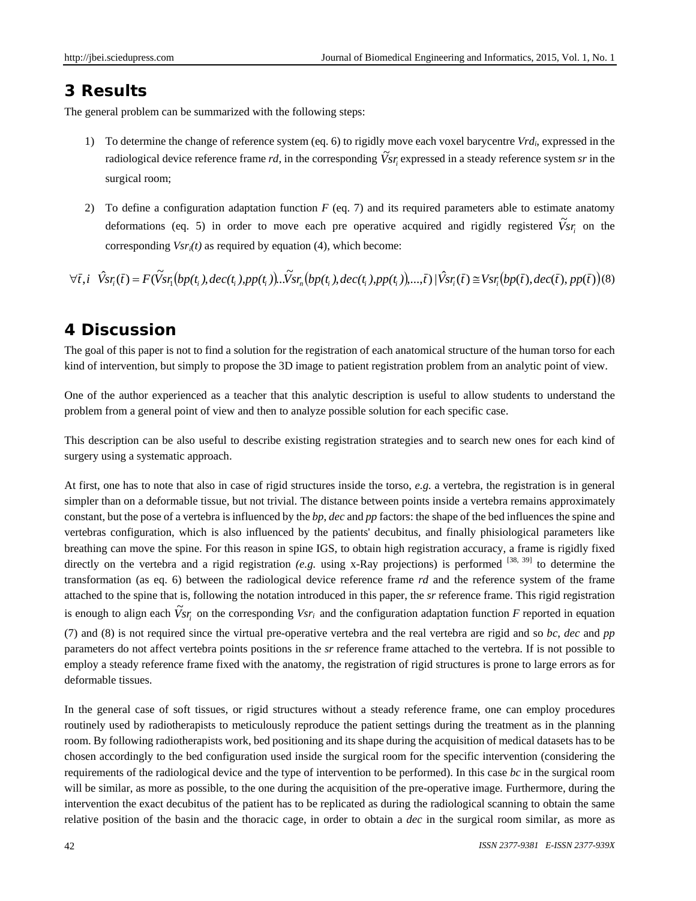## **3 Results**

The general problem can be summarized with the following steps:

- 1) To determine the change of reference system (eq. 6) to rigidly move each voxel barycentre *Vrdi*, expressed in the radiological device reference frame *rd*, in the corresponding  $V_{sr_i}$  expressed in a steady reference system *sr* in the surgical room;
- 2) To define a configuration adaptation function *F* (eq. 7) and its required parameters able to estimate anatomy deformations (eq. 5) in order to move each pre operative acquired and rigidly registered  $\tilde{V}_{sr_i}$  on the corresponding *Vsri(t)* as required by equation (4), which become:

 $\forall \overline{t}, i \quad \hat{V}_{ST}(\overline{t}) = F(\widetilde{V}_{ST}(bp(t_i), dec(t_i), pp(t_i)), \widetilde{V}_{ST}(bp(t_i), dec(t_i), pp(t_i)), \dots, \overline{t}) \mid \hat{V}_{ST}(\overline{t}) \cong V_{ST}(bp(\overline{t}), dec(\overline{t}), pp(\overline{t})) \tag{8}$ 

# **4 Discussion**

The goal of this paper is not to find a solution for the registration of each anatomical structure of the human torso for each kind of intervention, but simply to propose the 3D image to patient registration problem from an analytic point of view.

One of the author experienced as a teacher that this analytic description is useful to allow students to understand the problem from a general point of view and then to analyze possible solution for each specific case.

This description can be also useful to describe existing registration strategies and to search new ones for each kind of surgery using a systematic approach.

At first, one has to note that also in case of rigid structures inside the torso, *e.g.* a vertebra, the registration is in general simpler than on a deformable tissue, but not trivial. The distance between points inside a vertebra remains approximately constant, but the pose of a vertebra is influenced by the *bp*, *dec* and *pp* factors: the shape of the bed influences the spine and vertebras configuration, which is also influenced by the patients' decubitus, and finally phisiological parameters like breathing can move the spine. For this reason in spine IGS, to obtain high registration accuracy, a frame is rigidly fixed directly on the vertebra and a rigid registration (e.g. using x-Ray projections) is performed <sup>[38, 39]</sup> to determine the transformation (as eq. 6) between the radiological device reference frame *rd* and the reference system of the frame attached to the spine that is, following the notation introduced in this paper, the *sr* reference frame. This rigid registration is enough to align each  $\tilde{V}_{sr_i}$  on the corresponding  $V_{sr_i}$  and the configuration adaptation function *F* reported in equation (7) and (8) is not required since the virtual pre-operative vertebra and the real vertebra are rigid and so *bc*, *dec* and *pp* parameters do not affect vertebra points positions in the *sr* reference frame attached to the vertebra. If is not possible to employ a steady reference frame fixed with the anatomy, the registration of rigid structures is prone to large errors as for deformable tissues.

In the general case of soft tissues, or rigid structures without a steady reference frame, one can employ procedures routinely used by radiotherapists to meticulously reproduce the patient settings during the treatment as in the planning room. By following radiotherapists work, bed positioning and its shape during the acquisition of medical datasets has to be chosen accordingly to the bed configuration used inside the surgical room for the specific intervention (considering the requirements of the radiological device and the type of intervention to be performed). In this case *bc* in the surgical room will be similar, as more as possible, to the one during the acquisition of the pre-operative image*.* Furthermore, during the intervention the exact decubitus of the patient has to be replicated as during the radiological scanning to obtain the same relative position of the basin and the thoracic cage, in order to obtain a *dec* in the surgical room similar, as more as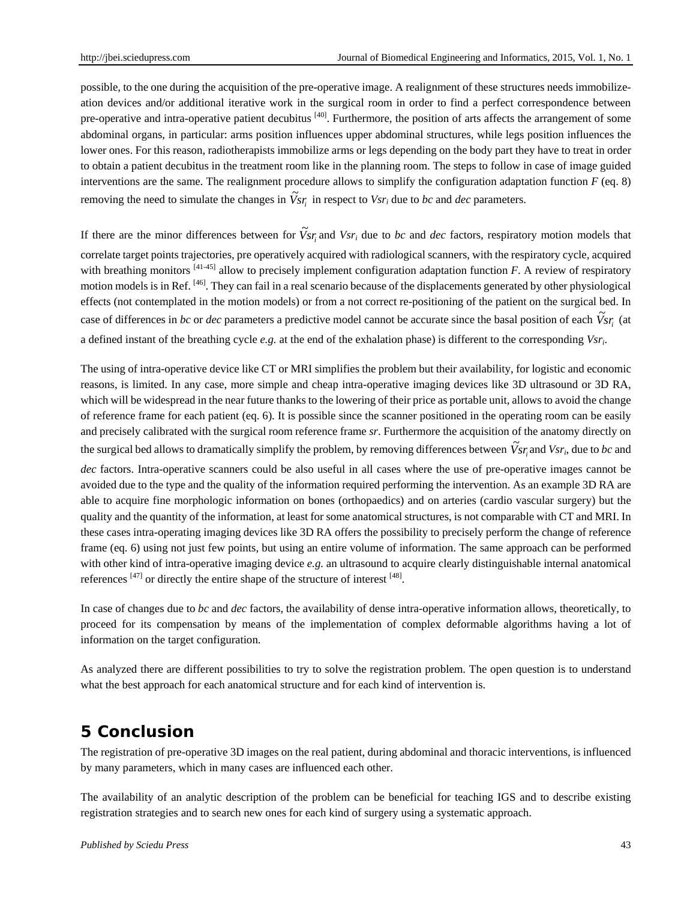possible, to the one during the acquisition of the pre-operative image. A realignment of these structures needs immobilizeation devices and/or additional iterative work in the surgical room in order to find a perfect correspondence between pre-operative and intra-operative patient decubitus [40]. Furthermore, the position of arts affects the arrangement of some abdominal organs, in particular: arms position influences upper abdominal structures, while legs position influences the lower ones. For this reason, radiotherapists immobilize arms or legs depending on the body part they have to treat in order to obtain a patient decubitus in the treatment room like in the planning room. The steps to follow in case of image guided interventions are the same. The realignment procedure allows to simplify the configuration adaptation function *F* (eq. 8) removing the need to simulate the changes in  $\tilde{V}_{sr_i}$  in respect to  $V_{sr_i}$  due to *bc* and *dec* parameters.

If there are the minor differences between for  $\tilde{V}_{s,r_i}$  and  $V_{s,r_i}$  due to *bc* and *dec* factors, respiratory motion models that correlate target points trajectories, pre operatively acquired with radiological scanners, with the respiratory cycle, acquired with breathing monitors <sup>[41-45]</sup> allow to precisely implement configuration adaptation function *F*. A review of respiratory motion models is in Ref. [46]. They can fail in a real scenario because of the displacements generated by other physiological effects (not contemplated in the motion models) or from a not correct re-positioning of the patient on the surgical bed. In case of differences in *bc* or *dec* parameters a predictive model cannot be accurate since the basal position of each  $\tilde{V}_{sr_i}$  (at a defined instant of the breathing cycle *e.g.* at the end of the exhalation phase) is different to the corresponding *Vsri*.

The using of intra-operative device like CT or MRI simplifies the problem but their availability, for logistic and economic reasons, is limited. In any case, more simple and cheap intra-operative imaging devices like 3D ultrasound or 3D RA, which will be widespread in the near future thanks to the lowering of their price as portable unit, allows to avoid the change of reference frame for each patient (eq. 6). It is possible since the scanner positioned in the operating room can be easily and precisely calibrated with the surgical room reference frame *sr*. Furthermore the acquisition of the anatomy directly on the surgical bed allows to dramatically simplify the problem, by removing differences between  $\tilde{V}_{sr_i}$  and  $V_{sr_i}$ , due to *bc* and *dec* factors. Intra-operative scanners could be also useful in all cases where the use of pre-operative images cannot be avoided due to the type and the quality of the information required performing the intervention. As an example 3D RA are able to acquire fine morphologic information on bones (orthopaedics) and on arteries (cardio vascular surgery) but the quality and the quantity of the information, at least for some anatomical structures, is not comparable with CT and MRI. In these cases intra-operating imaging devices like 3D RA offers the possibility to precisely perform the change of reference frame (eq. 6) using not just few points, but using an entire volume of information. The same approach can be performed with other kind of intra-operative imaging device *e.g.* an ultrasound to acquire clearly distinguishable internal anatomical references  $[47]$  or directly the entire shape of the structure of interest  $[48]$ .

In case of changes due to *bc* and *dec* factors, the availability of dense intra-operative information allows, theoretically, to proceed for its compensation by means of the implementation of complex deformable algorithms having a lot of information on the target configuration.

As analyzed there are different possibilities to try to solve the registration problem. The open question is to understand what the best approach for each anatomical structure and for each kind of intervention is.

# **5 Conclusion**

The registration of pre-operative 3D images on the real patient, during abdominal and thoracic interventions, is influenced by many parameters, which in many cases are influenced each other.

The availability of an analytic description of the problem can be beneficial for teaching IGS and to describe existing registration strategies and to search new ones for each kind of surgery using a systematic approach.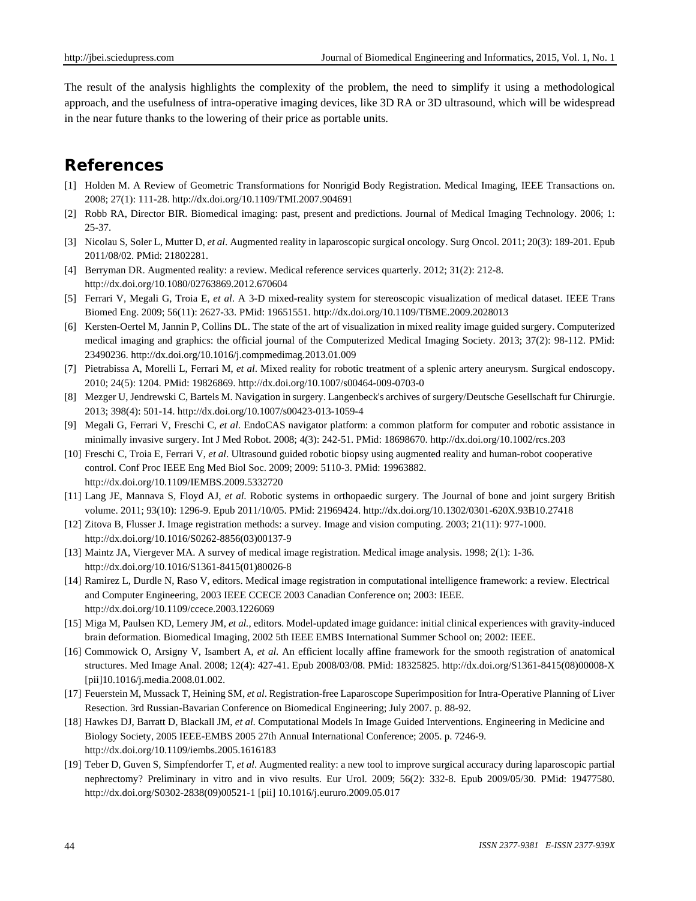The result of the analysis highlights the complexity of the problem, the need to simplify it using a methodological approach, and the usefulness of intra-operative imaging devices, like 3D RA or 3D ultrasound, which will be widespread in the near future thanks to the lowering of their price as portable units.

# **References**

- [1] Holden M. A Review of Geometric Transformations for Nonrigid Body Registration. Medical Imaging, IEEE Transactions on. 2008; 27(1): 111-28. http://dx.doi.org/10.1109/TMI.2007.904691
- [2] Robb RA, Director BIR. Biomedical imaging: past, present and predictions. Journal of Medical Imaging Technology. 2006; 1: 25-37.
- [3] Nicolau S, Soler L, Mutter D, *et al*. Augmented reality in laparoscopic surgical oncology. Surg Oncol. 2011; 20(3): 189-201. Epub 2011/08/02. PMid: 21802281.
- [4] Berryman DR. Augmented reality: a review. Medical reference services quarterly. 2012; 31(2): 212-8. http://dx.doi.org/10.1080/02763869.2012.670604
- [5] Ferrari V, Megali G, Troia E, *et al*. A 3-D mixed-reality system for stereoscopic visualization of medical dataset. IEEE Trans Biomed Eng. 2009; 56(11): 2627-33. PMid: 19651551. http://dx.doi.org/10.1109/TBME.2009.2028013
- [6] Kersten-Oertel M, Jannin P, Collins DL. The state of the art of visualization in mixed reality image guided surgery. Computerized medical imaging and graphics: the official journal of the Computerized Medical Imaging Society. 2013; 37(2): 98-112. PMid: 23490236. http://dx.doi.org/10.1016/j.compmedimag.2013.01.009
- [7] Pietrabissa A, Morelli L, Ferrari M, *et al*. Mixed reality for robotic treatment of a splenic artery aneurysm. Surgical endoscopy. 2010; 24(5): 1204. PMid: 19826869. http://dx.doi.org/10.1007/s00464-009-0703-0
- [8] Mezger U, Jendrewski C, Bartels M. Navigation in surgery. Langenbeck's archives of surgery/Deutsche Gesellschaft fur Chirurgie. 2013; 398(4): 501-14. http://dx.doi.org/10.1007/s00423-013-1059-4
- [9] Megali G, Ferrari V, Freschi C, *et al*. EndoCAS navigator platform: a common platform for computer and robotic assistance in minimally invasive surgery. Int J Med Robot. 2008; 4(3): 242-51. PMid: 18698670. http://dx.doi.org/10.1002/rcs.203
- [10] Freschi C, Troia E, Ferrari V, *et al*. Ultrasound guided robotic biopsy using augmented reality and human-robot cooperative control. Conf Proc IEEE Eng Med Biol Soc. 2009; 2009: 5110-3. PMid: 19963882. http://dx.doi.org/10.1109/IEMBS.2009.5332720
- [11] Lang JE, Mannava S, Floyd AJ, *et al*. Robotic systems in orthopaedic surgery. The Journal of bone and joint surgery British volume. 2011; 93(10): 1296-9. Epub 2011/10/05. PMid: 21969424. http://dx.doi.org/10.1302/0301-620X.93B10.27418
- [12] Zitova B, Flusser J. Image registration methods: a survey. Image and vision computing. 2003; 21(11): 977-1000. http://dx.doi.org/10.1016/S0262-8856(03)00137-9
- [13] Maintz JA, Viergever MA. A survey of medical image registration. Medical image analysis. 1998; 2(1): 1-36. http://dx.doi.org/10.1016/S1361-8415(01)80026-8
- [14] Ramirez L, Durdle N, Raso V, editors. Medical image registration in computational intelligence framework: a review. Electrical and Computer Engineering, 2003 IEEE CCECE 2003 Canadian Conference on; 2003: IEEE. http://dx.doi.org/10.1109/ccece.2003.1226069
- [15] Miga M, Paulsen KD, Lemery JM, *et al.*, editors. Model-updated image guidance: initial clinical experiences with gravity-induced brain deformation. Biomedical Imaging, 2002 5th IEEE EMBS International Summer School on; 2002: IEEE.
- [16] Commowick O, Arsigny V, Isambert A, *et al*. An efficient locally affine framework for the smooth registration of anatomical structures. Med Image Anal. 2008; 12(4): 427-41. Epub 2008/03/08. PMid: 18325825. http://dx.doi.org/S1361-8415(08)00008-X [pii]10.1016/j.media.2008.01.002.
- [17] Feuerstein M, Mussack T, Heining SM, *et al*. Registration-free Laparoscope Superimposition for Intra-Operative Planning of Liver Resection. 3rd Russian-Bavarian Conference on Biomedical Engineering; July 2007. p. 88-92.
- [18] Hawkes DJ, Barratt D, Blackall JM, *et al*. Computational Models In Image Guided Interventions. Engineering in Medicine and Biology Society, 2005 IEEE-EMBS 2005 27th Annual International Conference; 2005. p. 7246-9. http://dx.doi.org/10.1109/iembs.2005.1616183
- [19] Teber D, Guven S, Simpfendorfer T, *et al*. Augmented reality: a new tool to improve surgical accuracy during laparoscopic partial nephrectomy? Preliminary in vitro and in vivo results. Eur Urol. 2009; 56(2): 332-8. Epub 2009/05/30. PMid: 19477580. http://dx.doi.org/S0302-2838(09)00521-1 [pii] 10.1016/j.eururo.2009.05.017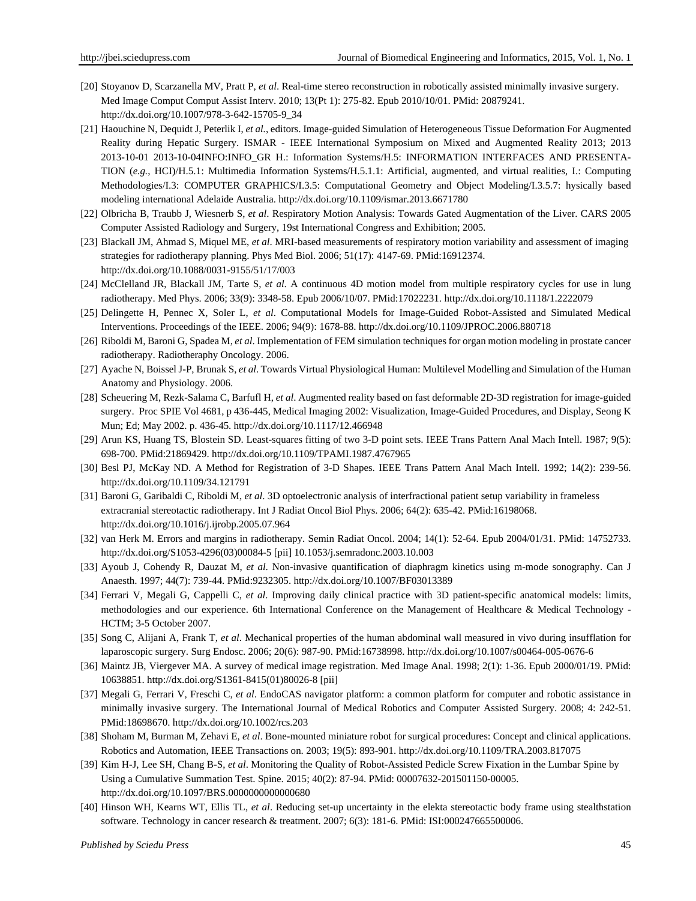- [20] Stoyanov D, Scarzanella MV, Pratt P, *et al*. Real-time stereo reconstruction in robotically assisted minimally invasive surgery. Med Image Comput Comput Assist Interv. 2010; 13(Pt 1): 275-82. Epub 2010/10/01. PMid: 20879241. http://dx.doi.org/10.1007/978-3-642-15705-9\_34
- [21] Haouchine N, Dequidt J, Peterlik I, *et al.*, editors. Image-guided Simulation of Heterogeneous Tissue Deformation For Augmented Reality during Hepatic Surgery. ISMAR - IEEE International Symposium on Mixed and Augmented Reality 2013; 2013 2013-10-01 2013-10-04INFO:INFO\_GR H.: Information Systems/H.5: INFORMATION INTERFACES AND PRESENTA-TION (*e.g.*, HCI)/H.5.1: Multimedia Information Systems/H.5.1.1: Artificial, augmented, and virtual realities, I.: Computing Methodologies/I.3: COMPUTER GRAPHICS/I.3.5: Computational Geometry and Object Modeling/I.3.5.7: hysically based modeling international Adelaide Australia. http://dx.doi.org/10.1109/ismar.2013.6671780
- [22] Olbricha B, Traubb J, Wiesnerb S, *et al*. Respiratory Motion Analysis: Towards Gated Augmentation of the Liver. CARS 2005 Computer Assisted Radiology and Surgery, 19st International Congress and Exhibition; 2005.
- [23] Blackall JM, Ahmad S, Miquel ME, *et al*. MRI-based measurements of respiratory motion variability and assessment of imaging strategies for radiotherapy planning. Phys Med Biol. 2006; 51(17): 4147-69. PMid:16912374. http://dx.doi.org/10.1088/0031-9155/51/17/003
- [24] McClelland JR, Blackall JM, Tarte S, *et al*. A continuous 4D motion model from multiple respiratory cycles for use in lung radiotherapy. Med Phys. 2006; 33(9): 3348-58. Epub 2006/10/07. PMid:17022231. http://dx.doi.org/10.1118/1.2222079
- [25] Delingette H, Pennec X, Soler L, *et al*. Computational Models for Image-Guided Robot-Assisted and Simulated Medical Interventions. Proceedings of the IEEE. 2006; 94(9): 1678-88. http://dx.doi.org/10.1109/JPROC.2006.880718
- [26] Riboldi M, Baroni G, Spadea M, *et al*. Implementation of FEM simulation techniques for organ motion modeling in prostate cancer radiotherapy. Radiotheraphy Oncology. 2006.
- [27] Ayache N, Boissel J-P, Brunak S, *et al*. Towards Virtual Physiological Human: Multilevel Modelling and Simulation of the Human Anatomy and Physiology. 2006.
- [28] Scheuering M, Rezk-Salama C, Barfufl H, *et al*. Augmented reality based on fast deformable 2D-3D registration for image-guided surgery. Proc SPIE Vol 4681, p 436-445, Medical Imaging 2002: Visualization, Image-Guided Procedures, and Display, Seong K Mun; Ed; May 2002. p. 436-45. http://dx.doi.org/10.1117/12.466948
- [29] Arun KS, Huang TS, Blostein SD. Least-squares fitting of two 3-D point sets. IEEE Trans Pattern Anal Mach Intell. 1987; 9(5): 698-700. PMid:21869429. http://dx.doi.org/10.1109/TPAMI.1987.4767965
- [30] Besl PJ, McKay ND. A Method for Registration of 3-D Shapes. IEEE Trans Pattern Anal Mach Intell. 1992; 14(2): 239-56. http://dx.doi.org/10.1109/34.121791
- [31] Baroni G, Garibaldi C, Riboldi M, *et al*. 3D optoelectronic analysis of interfractional patient setup variability in frameless extracranial stereotactic radiotherapy. Int J Radiat Oncol Biol Phys. 2006; 64(2): 635-42. PMid:16198068. http://dx.doi.org/10.1016/j.ijrobp.2005.07.964
- [32] van Herk M. Errors and margins in radiotherapy. Semin Radiat Oncol. 2004; 14(1): 52-64. Epub 2004/01/31. PMid: 14752733. http://dx.doi.org/S1053-4296(03)00084-5 [pii] 10.1053/j.semradonc.2003.10.003
- [33] Ayoub J, Cohendy R, Dauzat M, *et al*. Non-invasive quantification of diaphragm kinetics using m-mode sonography. Can J Anaesth. 1997; 44(7): 739-44. PMid:9232305. http://dx.doi.org/10.1007/BF03013389
- [34] Ferrari V, Megali G, Cappelli C, *et al*. Improving daily clinical practice with 3D patient-specific anatomical models: limits, methodologies and our experience. 6th International Conference on the Management of Healthcare & Medical Technology - HCTM; 3-5 October 2007.
- [35] Song C, Alijani A, Frank T, *et al*. Mechanical properties of the human abdominal wall measured in vivo during insufflation for laparoscopic surgery. Surg Endosc. 2006; 20(6): 987-90. PMid:16738998. http://dx.doi.org/10.1007/s00464-005-0676-6
- [36] Maintz JB, Viergever MA. A survey of medical image registration. Med Image Anal. 1998; 2(1): 1-36. Epub 2000/01/19. PMid: 10638851. http://dx.doi.org/S1361-8415(01)80026-8 [pii]
- [37] Megali G, Ferrari V, Freschi C, *et al*. EndoCAS navigator platform: a common platform for computer and robotic assistance in minimally invasive surgery. The International Journal of Medical Robotics and Computer Assisted Surgery. 2008; 4: 242-51. PMid:18698670. http://dx.doi.org/10.1002/rcs.203
- [38] Shoham M, Burman M, Zehavi E, *et al*. Bone-mounted miniature robot for surgical procedures: Concept and clinical applications. Robotics and Automation, IEEE Transactions on. 2003; 19(5): 893-901. http://dx.doi.org/10.1109/TRA.2003.817075
- [39] Kim H-J, Lee SH, Chang B-S, *et al*. Monitoring the Quality of Robot-Assisted Pedicle Screw Fixation in the Lumbar Spine by Using a Cumulative Summation Test. Spine. 2015; 40(2): 87-94. PMid: 00007632-201501150-00005. http://dx.doi.org/10.1097/BRS.0000000000000680
- [40] Hinson WH, Kearns WT, Ellis TL, *et al*. Reducing set-up uncertainty in the elekta stereotactic body frame using stealthstation software. Technology in cancer research & treatment. 2007; 6(3): 181-6. PMid: ISI:000247665500006.